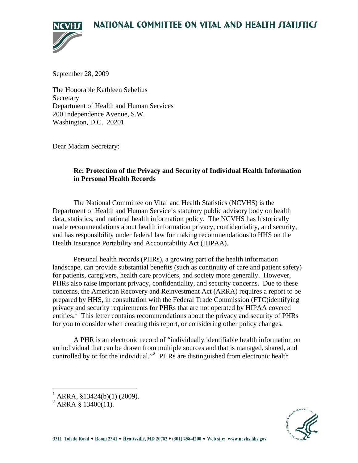# NATIONAL COMMITTEE ON VITAL AND HEALTH JTATIJTICJ



September 28, 2009

The Honorable Kathleen Sebelius Secretary Department of Health and Human Services 200 Independence Avenue, S.W. Washington, D.C. 20201

Dear Madam Secretary:

## **Re: Protection of the Privacy and Security of Individual Health Information in Personal Health Records**

 The National Committee on Vital and Health Statistics (NCVHS) is the Department of Health and Human Service's statutory public advisory body on health data, statistics, and national health information policy. The NCVHS has historically made recommendations about health information privacy, confidentiality, and security, and has responsibility under federal law for making recommendations to HHS on the Health Insurance Portability and Accountability Act (HIPAA).

Personal health records (PHRs), a growing part of the health information landscape, can provide substantial benefits (such as continuity of care and patient safety) for patients, caregivers, health care providers, and society more generally. However, PHRs also raise important privacy, confidentiality, and security concerns. Due to these concerns, the American Recovery and Reinvestment Act (ARRA) requires a report to be prepared by HHS, in consultation with the Federal Trade Commission (FTC)identifying privacy and security requirements for PHRs that are not operated by HIPAA covered entities.<sup>[1](#page-0-0)</sup> This letter contains recommendations about the privacy and security of PHRs for you to consider when creating this report, or considering other policy changes.

 A PHR is an electronic record of "individually identifiable health information on an individual that can be drawn from multiple sources and that is managed, shared, and controlled by or for the individual."<sup>[2](#page-0-1)</sup> PHRs are distinguished from electronic health



<span id="page-0-0"></span> $\frac{1}{1}$  ARRA, §13424(b)(1) (2009).

<span id="page-0-1"></span> $^{2}$  ARRA § 13400(11).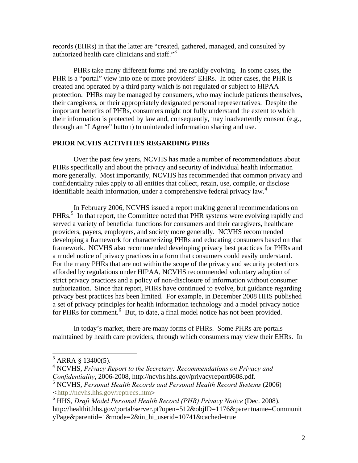records (EHRs) in that the latter are "created, gathered, managed, and consulted by authorized health care clinicians and staff."[3](#page-1-0)

PHRs take many different forms and are rapidly evolving. In some cases, the PHR is a "portal" view into one or more providers' EHRs. In other cases, the PHR is created and operated by a third party which is not regulated or subject to HIPAA protection. PHRs may be managed by consumers, who may include patients themselves, their caregivers, or their appropriately designated personal representatives. Despite the important benefits of PHRs, consumers might not fully understand the extent to which their information is protected by law and, consequently, may inadvertently consent (e.g., through an "I Agree" button) to unintended information sharing and use.

#### **PRIOR NCVHS ACTIVITIES REGARDING PHRs**

 Over the past few years, NCVHS has made a number of recommendations about PHRs specifically and about the privacy and security of individual health information more generally. Most importantly, NCVHS has recommended that common privacy and confidentiality rules apply to all entities that collect, retain, use, compile, or disclose identifiable health information, under a comprehensive federal privacy law.<sup>[4](#page-1-1)</sup>

In February 2006, NCVHS issued a report making general recommendations on PHRs.<sup>[5](#page-1-2)</sup> In that report, the Committee noted that PHR systems were evolving rapidly and served a variety of beneficial functions for consumers and their caregivers, healthcare providers, payers, employers, and society more generally. NCVHS recommended developing a framework for characterizing PHRs and educating consumers based on that framework. NCVHS also recommended developing privacy best practices for PHRs and a model notice of privacy practices in a form that consumers could easily understand. For the many PHRs that are not within the scope of the privacy and security protections afforded by regulations under HIPAA, NCVHS recommended voluntary adoption of strict privacy practices and a policy of non-disclosure of information without consumer authorization. Since that report, PHRs have continued to evolve, but guidance regarding privacy best practices has been limited. For example, in December 2008 HHS published a set of privacy principles for health information technology and a model privacy notice for PHRs for comment.<sup>[6](#page-1-3)</sup> But, to date, a final model notice has not been provided.

In today's market, there are many forms of PHRs. Some PHRs are portals maintained by health care providers, through which consumers may view their EHRs. In

 $3$  ARRA § 13400(5).

<span id="page-1-1"></span><span id="page-1-0"></span><sup>4</sup> NCVHS, *Privacy Report to the Secretary: Recommendations on Privacy and Confidentiality*, 2006-2008, http://ncvhs.hhs.gov/privacyreport0608.pdf.

<span id="page-1-2"></span><sup>5</sup> NCVHS, *Personal Health Records and Personal Health Record Systems* (2006) *<*[http://ncvhs.hhs.gov/reptrecs.htm>](http://ncvhs.hhs.gov/reptrecs.htm)

<span id="page-1-3"></span><sup>6</sup> HHS, *Draft Model Personal Health Record (PHR) Privacy Notice* (Dec. 2008), http://healthit.hhs.gov/portal/server.pt?open=512&objID=1176&parentname=Communit yPage&parentid=1&mode=2&in\_hi\_userid=10741&cached=true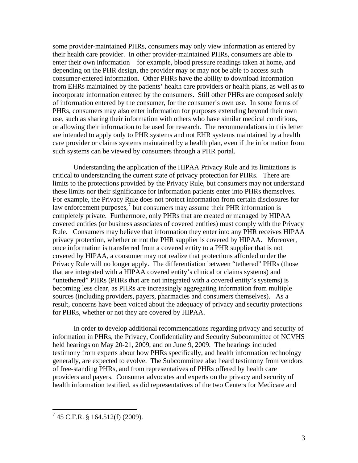some provider-maintained PHRs, consumers may only view information as entered by their health care provider. In other provider-maintained PHRs, consumers are able to enter their own information—for example, blood pressure readings taken at home, and depending on the PHR design, the provider may or may not be able to access such consumer-entered information. Other PHRs have the ability to download information from EHRs maintained by the patients' health care providers or health plans, as well as to incorporate information entered by the consumers. Still other PHRs are composed solely of information entered by the consumer, for the consumer's own use. In some forms of PHRs, consumers may also enter information for purposes extending beyond their own use, such as sharing their information with others who have similar medical conditions, or allowing their information to be used for research. The recommendations in this letter are intended to apply only to PHR systems and not EHR systems maintained by a health care provider or claims systems maintained by a health plan, even if the information from such systems can be viewed by consumers through a PHR portal.

Understanding the application of the HIPAA Privacy Rule and its limitations is critical to understanding the current state of privacy protection for PHRs. There are limits to the protections provided by the Privacy Rule, but consumers may not understand these limits nor their significance for information patients enter into PHRs themselves. For example, the Privacy Rule does not protect information from certain disclosures for law enforcement purposes,<sup>[7](#page-2-0)</sup> but consumers may assume their PHR information is completely private. Furthermore, only PHRs that are created or managed by HIPAA covered entities (or business associates of covered entities) must comply with the Privacy Rule. Consumers may believe that information they enter into any PHR receives HIPAA privacy protection, whether or not the PHR supplier is covered by HIPAA. Moreover, once information is transferred from a covered entity to a PHR supplier that is not covered by HIPAA, a consumer may not realize that protections afforded under the Privacy Rule will no longer apply. The differentiation between "tethered" PHRs (those that are integrated with a HIPAA covered entity's clinical or claims systems) and "untethered" PHRs (PHRs that are not integrated with a covered entity's systems) is becoming less clear, as PHRs are increasingly aggregating information from multiple sources (including providers, payers, pharmacies and consumers themselves). As a result, concerns have been voiced about the adequacy of privacy and security protections for PHRs, whether or not they are covered by HIPAA.

In order to develop additional recommendations regarding privacy and security of information in PHRs, the Privacy, Confidentiality and Security Subcommittee of NCVHS held hearings on May 20-21, 2009, and on June 9, 2009. The hearings included testimony from experts about how PHRs specifically, and health information technology generally, are expected to evolve. The Subcommittee also heard testimony from vendors of free-standing PHRs, and from representatives of PHRs offered by health care providers and payers. Consumer advocates and experts on the privacy and security of health information testified, as did representatives of the two Centers for Medicare and

<span id="page-2-0"></span> 7 45 C.F.R. § 164.512(f) (2009).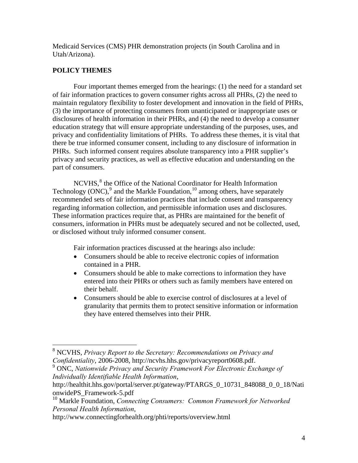Medicaid Services (CMS) PHR demonstration projects (in South Carolina and in Utah/Arizona).

# **POLICY THEMES**

 Four important themes emerged from the hearings: (1) the need for a standard set of fair information practices to govern consumer rights across all PHRs, (2) the need to maintain regulatory flexibility to foster development and innovation in the field of PHRs, (3) the importance of protecting consumers from unanticipated or inappropriate uses or disclosures of health information in their PHRs, and (4) the need to develop a consumer education strategy that will ensure appropriate understanding of the purposes, uses, and privacy and confidentiality limitations of PHRs. To address these themes, it is vital that there be true informed consumer consent, including to any disclosure of information in PHRs. Such informed consent requires absolute transparency into a PHR supplier's privacy and security practices, as well as effective education and understanding on the part of consumers.

NCVHS,<sup>[8](#page-3-0)</sup> the Office of the National Coordinator for Health Information Technology (ONC), $^{9}$  $^{9}$  $^{9}$  and the Markle Foundation,  $^{10}$  $^{10}$  $^{10}$  among others, have separately recommended sets of fair information practices that include consent and transparency regarding information collection, and permissible information uses and disclosures. These information practices require that, as PHRs are maintained for the benefit of consumers, information in PHRs must be adequately secured and not be collected, used, or disclosed without truly informed consumer consent.

Fair information practices discussed at the hearings also include:

- Consumers should be able to receive electronic copies of information contained in a PHR.
- Consumers should be able to make corrections to information they have entered into their PHRs or others such as family members have entered on their behalf.
- Consumers should be able to exercise control of disclosures at a level of granularity that permits them to protect sensitive information or information they have entered themselves into their PHR.

<span id="page-3-1"></span>9 ONC, *Nationwide Privacy and Security Framework For Electronic Exchange of Individually Identifiable Health Information*,

http://www.connectingforhealth.org/phti/reports/overview.html

<span id="page-3-0"></span> 8 NCVHS, *Privacy Report to the Secretary: Recommendations on Privacy and Confidentiality*, 2006-2008, http://ncvhs.hhs.gov/privacyreport0608.pdf.

http://healthit.hhs.gov/portal/server.pt/gateway/PTARGS\_0\_10731\_848088\_0\_0\_18/Nati onwidePS\_Framework-5.pdf

<span id="page-3-2"></span><sup>10</sup> Markle Foundation, *Connecting Consumers: Common Framework for Networked Personal Health Information*,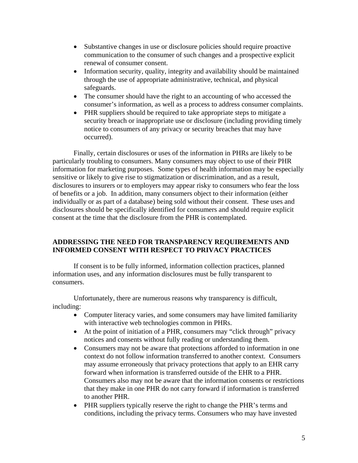- Substantive changes in use or disclosure policies should require proactive communication to the consumer of such changes and a prospective explicit renewal of consumer consent.
- Information security, quality, integrity and availability should be maintained through the use of appropriate administrative, technical, and physical safeguards.
- The consumer should have the right to an accounting of who accessed the consumer's information, as well as a process to address consumer complaints.
- PHR suppliers should be required to take appropriate steps to mitigate a security breach or inappropriate use or disclosure (including providing timely notice to consumers of any privacy or security breaches that may have occurred).

Finally, certain disclosures or uses of the information in PHRs are likely to be particularly troubling to consumers. Many consumers may object to use of their PHR information for marketing purposes. Some types of health information may be especially sensitive or likely to give rise to stigmatization or discrimination, and as a result, disclosures to insurers or to employers may appear risky to consumers who fear the loss of benefits or a job. In addition, many consumers object to their information (either individually or as part of a database) being sold without their consent. These uses and disclosures should be specifically identified for consumers and should require explicit consent at the time that the disclosure from the PHR is contemplated.

## **ADDRESSING THE NEED FOR TRANSPARENCY REQUIREMENTS AND INFORMED CONSENT WITH RESPECT TO PRIVACY PRACTICES**

 If consent is to be fully informed, information collection practices, planned information uses, and any information disclosures must be fully transparent to consumers.

 Unfortunately, there are numerous reasons why transparency is difficult, including:

- Computer literacy varies, and some consumers may have limited familiarity with interactive web technologies common in PHRs.
- At the point of initiation of a PHR, consumers may "click through" privacy notices and consents without fully reading or understanding them.
- Consumers may not be aware that protections afforded to information in one context do not follow information transferred to another context. Consumers may assume erroneously that privacy protections that apply to an EHR carry forward when information is transferred outside of the EHR to a PHR. Consumers also may not be aware that the information consents or restrictions that they make in one PHR do not carry forward if information is transferred to another PHR.
- PHR suppliers typically reserve the right to change the PHR's terms and conditions, including the privacy terms. Consumers who may have invested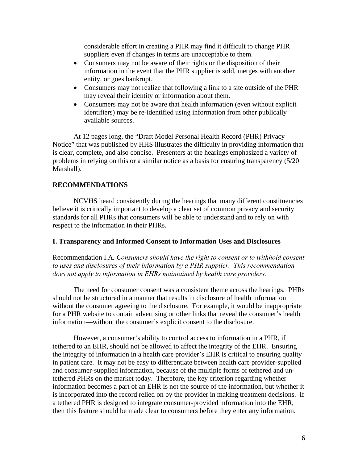considerable effort in creating a PHR may find it difficult to change PHR suppliers even if changes in terms are unacceptable to them.

- Consumers may not be aware of their rights or the disposition of their information in the event that the PHR supplier is sold, merges with another entity, or goes bankrupt.
- Consumers may not realize that following a link to a site outside of the PHR may reveal their identity or information about them.
- Consumers may not be aware that health information (even without explicit identifiers) may be re-identified using information from other publically available sources.

At 12 pages long, the "Draft Model Personal Health Record (PHR) Privacy Notice" that was published by HHS illustrates the difficulty in providing information that is clear, complete, and also concise. Presenters at the hearings emphasized a variety of problems in relying on this or a similar notice as a basis for ensuring transparency (5/20 Marshall).

## **RECOMMENDATIONS**

NCVHS heard consistently during the hearings that many different constituencies believe it is critically important to develop a clear set of common privacy and security standards for all PHRs that consumers will be able to understand and to rely on with respect to the information in their PHRs.

#### **I. Transparency and Informed Consent to Information Uses and Disclosures**

Recommendation I.A*. Consumers should have the right to consent or to withhold consent to uses and disclosures of their information by a PHR supplier. This recommendation does not apply to information in EHRs maintained by health care providers.* 

 The need for consumer consent was a consistent theme across the hearings. PHRs should not be structured in a manner that results in disclosure of health information without the consumer agreeing to the disclosure. For example, it would be inappropriate for a PHR website to contain advertising or other links that reveal the consumer's health information—without the consumer's explicit consent to the disclosure.

 However, a consumer's ability to control access to information in a PHR, if tethered to an EHR, should not be allowed to affect the integrity of the EHR. Ensuring the integrity of information in a health care provider's EHR is critical to ensuring quality in patient care. It may not be easy to differentiate between health care provider-supplied and consumer-supplied information, because of the multiple forms of tethered and untethered PHRs on the market today. Therefore, the key criterion regarding whether information becomes a part of an EHR is not the source of the information, but whether it is incorporated into the record relied on by the provider in making treatment decisions. If a tethered PHR is designed to integrate consumer-provided information into the EHR, then this feature should be made clear to consumers before they enter any information.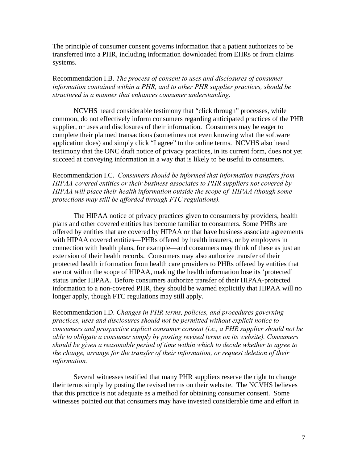The principle of consumer consent governs information that a patient authorizes to be transferred into a PHR, including information downloaded from EHRs or from claims systems.

Recommendation I.B. *The process of consent to uses and disclosures of consumer information contained within a PHR, and to other PHR supplier practices, should be structured in a manner that enhances consumer understanding.*

NCVHS heard considerable testimony that "click through" processes, while common, do not effectively inform consumers regarding anticipated practices of the PHR supplier, or uses and disclosures of their information. Consumers may be eager to complete their planned transactions (sometimes not even knowing what the software application does) and simply click "I agree" to the online terms. NCVHS also heard testimony that the ONC draft notice of privacy practices, in its current form, does not yet succeed at conveying information in a way that is likely to be useful to consumers.

Recommendation I.C. *Consumers should be informed that information transfers from HIPAA-covered entities or their business associates to PHR suppliers not covered by HIPAA will place their health information outside the scope of HIPAA (though some protections may still be afforded through FTC regulations).*

The HIPAA notice of privacy practices given to consumers by providers, health plans and other covered entities has become familiar to consumers. Some PHRs are offered by entities that are covered by HIPAA or that have business associate agreements with HIPAA covered entities—PHRs offered by health insurers, or by employers in connection with health plans, for example—and consumers may think of these as just an extension of their health records. Consumers may also authorize transfer of their protected health information from health care providers to PHRs offered by entities that are not within the scope of HIPAA, making the health information lose its 'protected' status under HIPAA. Before consumers authorize transfer of their HIPAA-protected information to a non-covered PHR, they should be warned explicitly that HIPAA will no longer apply, though FTC regulations may still apply.

Recommendation I.D. *Changes in PHR terms, policies, and procedures governing practices, uses and disclosures should not be permitted without explicit notice to consumers and prospective explicit consumer consent (i.e., a PHR supplier should not be able to obligate a consumer simply by posting revised terms on its website). Consumers should be given a reasonable period of time within which to decide whether to agree to the change, arrange for the transfer of their information, or request deletion of their information.* 

 Several witnesses testified that many PHR suppliers reserve the right to change their terms simply by posting the revised terms on their website. The NCVHS believes that this practice is not adequate as a method for obtaining consumer consent. Some witnesses pointed out that consumers may have invested considerable time and effort in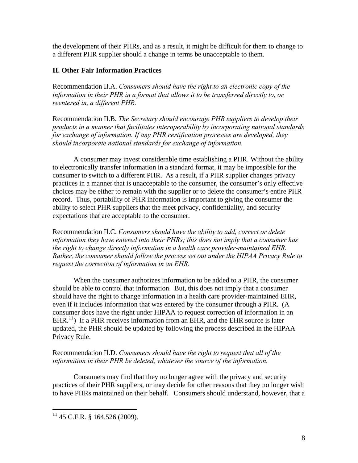the development of their PHRs, and as a result, it might be difficult for them to change to a different PHR supplier should a change in terms be unacceptable to them.

# **II. Other Fair Information Practices**

Recommendation II.A. *Consumers should have the right to an electronic copy of the information in their PHR in a format that allows it to be transferred directly to, or reentered in, a different PHR.* 

Recommendation II.B. *The Secretary should encourage PHR suppliers to develop their products in a manner that facilitates interoperability by incorporating national standards for exchange of information. If any PHR certification processes are developed, they should incorporate national standards for exchange of information.* 

 A consumer may invest considerable time establishing a PHR. Without the ability to electronically transfer information in a standard format, it may be impossible for the consumer to switch to a different PHR. As a result, if a PHR supplier changes privacy practices in a manner that is unacceptable to the consumer, the consumer's only effective choices may be either to remain with the supplier or to delete the consumer's entire PHR record. Thus, portability of PHR information is important to giving the consumer the ability to select PHR suppliers that the meet privacy, confidentiality, and security expectations that are acceptable to the consumer.

Recommendation II.C. *Consumers should have the ability to add, correct or delete information they have entered into their PHRs; this does not imply that a consumer has the right to change directly information in a health care provider-maintained EHR. Rather, the consumer should follow the process set out under the HIPAA Privacy Rule to request the correction of information in an EHR.* 

When the consumer authorizes information to be added to a PHR, the consumer should be able to control that information. But, this does not imply that a consumer should have the right to change information in a health care provider-maintained EHR, even if it includes information that was entered by the consumer through a PHR. (A consumer does have the right under HIPAA to request correction of information in an  $EHR<sup>11</sup>$  $EHR<sup>11</sup>$  $EHR<sup>11</sup>$ ) If a PHR receives information from an EHR, and the EHR source is later updated, the PHR should be updated by following the process described in the HIPAA Privacy Rule.

Recommendation II.D. *Consumers should have the right to request that all of the information in their PHR be deleted, whatever the source of the information.* 

 Consumers may find that they no longer agree with the privacy and security practices of their PHR suppliers, or may decide for other reasons that they no longer wish to have PHRs maintained on their behalf. Consumers should understand, however, that a

<span id="page-7-0"></span> $\overline{a}$  $11$  45 C.F.R. § 164.526 (2009).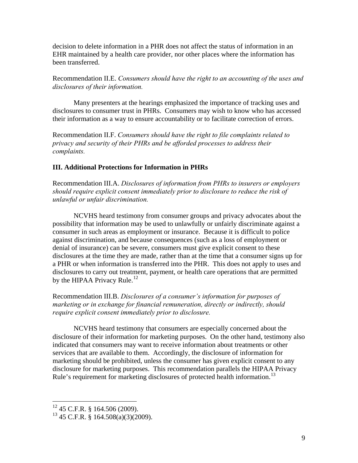decision to delete information in a PHR does not affect the status of information in an EHR maintained by a health care provider, nor other places where the information has been transferred.

Recommendation II.E. *Consumers should have the right to an accounting of the uses and disclosures of their information.* 

 Many presenters at the hearings emphasized the importance of tracking uses and disclosures to consumer trust in PHRs. Consumers may wish to know who has accessed their information as a way to ensure accountability or to facilitate correction of errors.

Recommendation II.F. *Consumers should have the right to file complaints related to privacy and security of their PHRs and be afforded processes to address their complaints.*

#### **III. Additional Protections for Information in PHRs**

Recommendation III.A. *Disclosures of information from PHRs to insurers or employers should require explicit consent immediately prior to disclosure to reduce the risk of unlawful or unfair discrimination.*

 NCVHS heard testimony from consumer groups and privacy advocates about the possibility that information may be used to unlawfully or unfairly discriminate against a consumer in such areas as employment or insurance. Because it is difficult to police against discrimination, and because consequences (such as a loss of employment or denial of insurance) can be severe, consumers must give explicit consent to these disclosures at the time they are made, rather than at the time that a consumer signs up for a PHR or when information is transferred into the PHR. This does not apply to uses and disclosures to carry out treatment, payment, or health care operations that are permitted by the HIPAA Privacy Rule.<sup>[12](#page-8-0)</sup>

Recommendation III.B. *Disclosures of a consumer's information for purposes of marketing or in exchange for financial remuneration, directly or indirectly, should require explicit consent immediately prior to disclosure.* 

 NCVHS heard testimony that consumers are especially concerned about the disclosure of their information for marketing purposes. On the other hand, testimony also indicated that consumers may want to receive information about treatments or other services that are available to them. Accordingly, the disclosure of information for marketing should be prohibited, unless the consumer has given explicit consent to any disclosure for marketing purposes. This recommendation parallels the HIPAA Privacy Rule's requirement for marketing disclosures of protected health information.<sup>[13](#page-8-1)</sup>

 $\overline{a}$ 

<span id="page-8-0"></span> $12$  45 C.F.R. § 164.506 (2009).

<span id="page-8-1"></span> $13$  45 C.F.R. § 164.508(a)(3)(2009).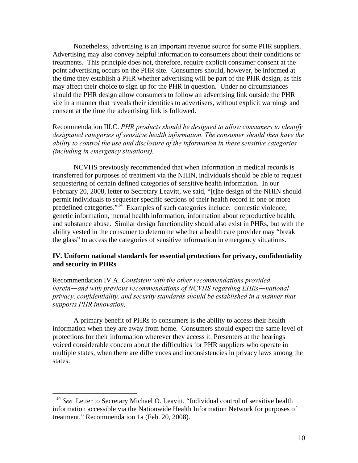Nonetheless, advertising is an important revenue source for some PHR suppliers. Advertising may also convey helpful information to consumers about their conditions or treatments. This principle does not, therefore, require explicit consumer consent at the point advertising occurs on the PHR site. Consumers should, however, be informed at the time they establish a PHR whether advertising will be part of the PHR design, as this may affect their choice to sign up for the PHR in question. Under no circumstances should the PHR design allow consumers to follow an advertising link outside the PHR site in a manner that reveals their identities to advertisers, without explicit warnings and consent at the time the advertising link is followed.

Recommendation III.C. *PHR products should be designed to allow consumers to identify*  designated categories of sensitive health information. The consumer should then have the *ability to control the use and disclosure of the information in these sensitive categories (including in emergency situations).* 

 NCVHS previously recommended that when information in medical records is transferred for purposes of treatment via the NHIN, individuals should be able to request sequestering of certain defined categories of sensitive health information. In our February 20, 2008, letter to Secretary Leavitt, we said, "[t]he design of the NHIN should permit individuals to sequester specific sections of their health record in one or more predefined categories."[14](#page-9-0) Examples of such categories include: domestic violence, genetic information, mental health information, information about reproductive health, and substance abuse. Similar design functionality should also exist in PHRs, but with the ability vested in the consumer to determine whether a health care provider may "break the glass" to access the categories of sensitive information in emergency situations.

#### **IV. Uniform national standards for essential protections for privacy, confidentiality and security in PHRs**

Recommendation IV.A. *Consistent with the other recommendations provided herein―and with previous recommendations of NCVHS regarding EHRs―national privacy, confidentiality, and security standards should be established in a manner that supports PHR innovation.*

 A primary benefit of PHRs to consumers is the ability to access their health information when they are away from home. Consumers should expect the same level of protections for their information wherever they access it. Presenters at the hearings voiced considerable concern about the difficulties for PHR suppliers who operate in multiple states, when there are differences and inconsistencies in privacy laws among the states.

 $\overline{a}$ 

<span id="page-9-0"></span><sup>&</sup>lt;sup>14</sup> See Letter to Secretary Michael O. Leavitt, "Individual control of sensitive health information accessible via the Nationwide Health Information Network for purposes of treatment," Recommendation 1a (Feb. 20, 2008).